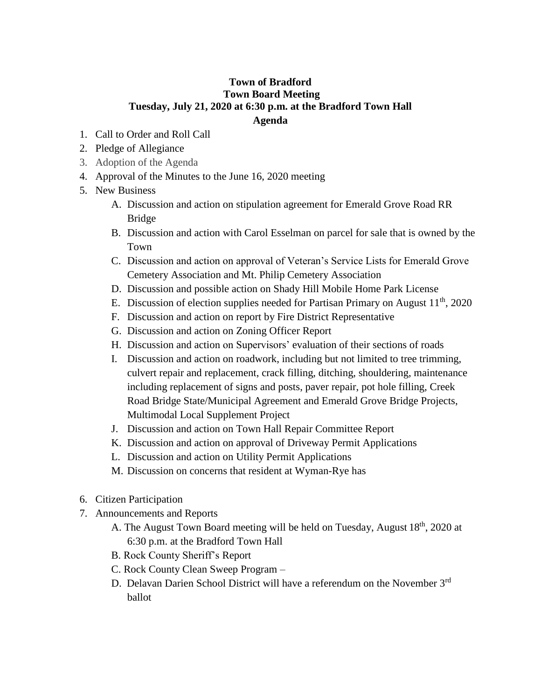## **Town of Bradford Town Board Meeting Tuesday, July 21, 2020 at 6:30 p.m. at the Bradford Town Hall Agenda**

- 1. Call to Order and Roll Call
- 2. Pledge of Allegiance
- 3. Adoption of the Agenda
- 4. Approval of the Minutes to the June 16, 2020 meeting
- 5. New Business
	- A. Discussion and action on stipulation agreement for Emerald Grove Road RR Bridge
	- B. Discussion and action with Carol Esselman on parcel for sale that is owned by the Town
	- C. Discussion and action on approval of Veteran's Service Lists for Emerald Grove Cemetery Association and Mt. Philip Cemetery Association
	- D. Discussion and possible action on Shady Hill Mobile Home Park License
	- E. Discussion of election supplies needed for Partisan Primary on August  $11<sup>th</sup>$ , 2020
	- F. Discussion and action on report by Fire District Representative
	- G. Discussion and action on Zoning Officer Report
	- H. Discussion and action on Supervisors' evaluation of their sections of roads
	- I. Discussion and action on roadwork, including but not limited to tree trimming, culvert repair and replacement, crack filling, ditching, shouldering, maintenance including replacement of signs and posts, paver repair, pot hole filling, Creek Road Bridge State/Municipal Agreement and Emerald Grove Bridge Projects, Multimodal Local Supplement Project
	- J. Discussion and action on Town Hall Repair Committee Report
	- K. Discussion and action on approval of Driveway Permit Applications
	- L. Discussion and action on Utility Permit Applications
	- M. Discussion on concerns that resident at Wyman-Rye has
- 6. Citizen Participation
- 7. Announcements and Reports
	- A. The August Town Board meeting will be held on Tuesday, August 18<sup>th</sup>, 2020 at 6:30 p.m. at the Bradford Town Hall
	- B. Rock County Sheriff's Report
	- C. Rock County Clean Sweep Program –
	- D. Delavan Darien School District will have a referendum on the November 3<sup>rd</sup> ballot